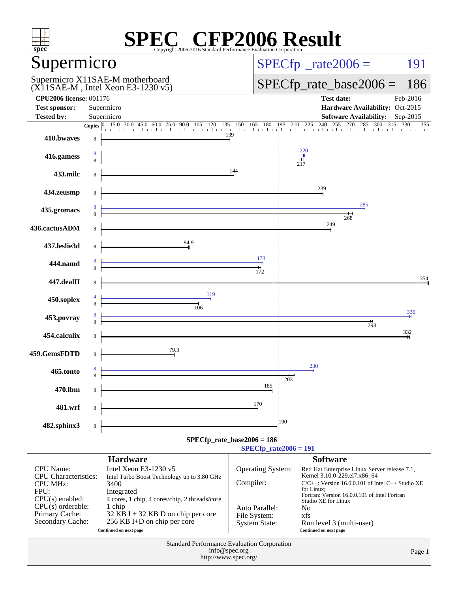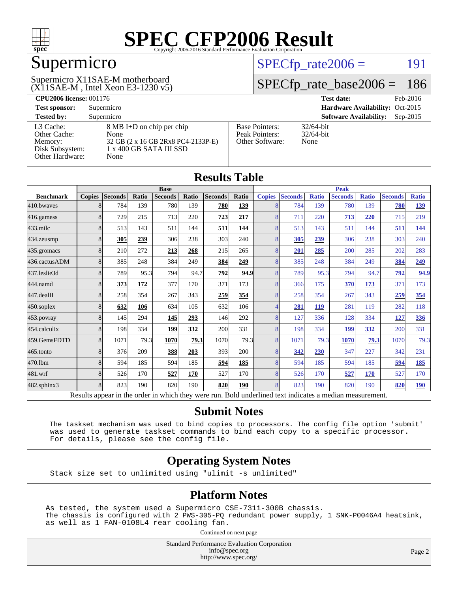

## Supermicro

(X11SAE-M , Intel Xeon E3-1230 v5) Supermicro X11SAE-M motherboard

 $SPECTp_rate2006 = 191$ 

#### [SPECfp\\_rate\\_base2006 =](http://www.spec.org/auto/cpu2006/Docs/result-fields.html#SPECfpratebase2006) 186

| <b>CPU2006 license: 001176</b> |                                    |                                 | <b>Test date:</b><br>Feb-2016               |  |  |  |
|--------------------------------|------------------------------------|---------------------------------|---------------------------------------------|--|--|--|
| <b>Test sponsor:</b>           | Supermicro                         | Hardware Availability: Oct-2015 |                                             |  |  |  |
| <b>Tested by:</b>              | Supermicro                         |                                 | <b>Software Availability:</b><br>$Sep-2015$ |  |  |  |
| L3 Cache:                      | 8 MB I+D on chip per chip          | <b>Base Pointers:</b>           | $32/64$ -bit                                |  |  |  |
| Other Cache:                   | None                               | Peak Pointers:                  | $32/64$ -bit                                |  |  |  |
| Memory:                        | 32 GB (2 x 16 GB 2Rx8 PC4-2133P-E) | Other Software:                 | None                                        |  |  |  |
| Disk Subsystem:                | 1 x 400 GB SATA III SSD            |                                 |                                             |  |  |  |
| Other Hardware:                | None                               |                                 |                                             |  |  |  |

| <b>Results Table</b>                                                                                     |                |                |       |                |       |                |              |                |                |              |                |              |                |              |
|----------------------------------------------------------------------------------------------------------|----------------|----------------|-------|----------------|-------|----------------|--------------|----------------|----------------|--------------|----------------|--------------|----------------|--------------|
|                                                                                                          | <b>Base</b>    |                |       |                |       | <b>Peak</b>    |              |                |                |              |                |              |                |              |
| <b>Benchmark</b>                                                                                         | <b>Copies</b>  | <b>Seconds</b> | Ratio | <b>Seconds</b> | Ratio | <b>Seconds</b> | <b>Ratio</b> | <b>Copies</b>  | <b>Seconds</b> | <b>Ratio</b> | <b>Seconds</b> | <b>Ratio</b> | <b>Seconds</b> | <b>Ratio</b> |
| 410.bwayes                                                                                               | 8              | 784            | 139   | 780            | 139   | 780            | 139          | 8              | 784            | 139          | 780            | 139          | 780            | 139          |
| 416.gamess                                                                                               | 8              | 729            | 215   | 713            | 220   | 723            | 217          | 8              | 711            | 220          | 713            | 220          | 715            | 219          |
| 433.milc                                                                                                 | 8              | 513            | 143   | 511            | 144   | 511            | 144          | 8              | 513            | 143          | 511            | 144          | 511            | <u>144</u>   |
| 434.zeusmp                                                                                               | 8              | 305            | 239   | 306            | 238   | 303            | 240          | 8              | 305            | 239          | 306            | 238          | 303            | 240          |
| 435.gromacs                                                                                              | 8              | 210            | 272   | 213            | 268   | 215            | 265          | $\overline{8}$ | 201            | 285          | 200            | 285          | 202            | 283          |
| 436.cactusADM                                                                                            | 8              | 385            | 248   | 384            | 249   | 384            | 249          | 8              | 385            | 248          | 384            | 249          | 384            | 249          |
| 437.leslie3d                                                                                             | 8              | 789            | 95.3  | 794            | 94.7  | 792            | 94.9         | 8              | 789            | 95.3         | 794            | 94.7         | 792            | 94.9         |
| 444.namd                                                                                                 | 8              | 373            | 172   | 377            | 170   | 371            | 173          | 8              | 366            | 175          | 370            | 173          | 371            | 173          |
| 447.dealII                                                                                               | 8              | 258            | 354   | 267            | 343   | 259            | 354          | 8              | 258            | 354          | 267            | 343          | 259            | 354          |
| 450.soplex                                                                                               | 8              | 632            | 106   | 634            | 105   | 632            | 106          | 4              | 281            | <b>119</b>   | 281            | 119          | 282            | 118          |
| 453.povray                                                                                               | 8              | 145            | 294   | 145            | 293   | 146            | 292          | 8              | 127            | 336          | 128            | 334          | 127            | 336          |
| 454.calculix                                                                                             | 8              | 198            | 334   | 199            | 332   | 200            | 331          | $\overline{8}$ | 198            | 334          | 199            | 332          | 200            | 331          |
| 459.GemsFDTD                                                                                             | $\overline{8}$ | 1071           | 79.3  | 1070           | 79.3  | 1070           | 79.3         | $\overline{8}$ | 1071           | 79.3         | 1070           | 79.3         | 1070           | 79.3         |
| 465.tonto                                                                                                | 8              | 376            | 209   | 388            | 203   | 393            | 200          | 8              | 342            | 230          | 347            | 227          | 342            | 231          |
| 470.1bm                                                                                                  | 8              | 594            | 185   | 594            | 185   | 594            | 185          | 8              | 594            | 185          | 594            | 185          | 594            | <u>185</u>   |
| 481.wrf                                                                                                  | 8              | 526            | 170   | 527            | 170   | 527            | 170          | $\overline{8}$ | 526            | 170          | 527            | 170          | 527            | 170          |
| 482.sphinx3                                                                                              | $\overline{8}$ | 823            | 190   | 820            | 190   | 820            | 190          | $\overline{8}$ | 823            | 190          | 820            | 190          | 820            | <b>190</b>   |
| Results appear in the order in which they were run. Bold underlined text indicates a median measurement. |                |                |       |                |       |                |              |                |                |              |                |              |                |              |

#### **[Submit Notes](http://www.spec.org/auto/cpu2006/Docs/result-fields.html#SubmitNotes)**

 The taskset mechanism was used to bind copies to processors. The config file option 'submit' was used to generate taskset commands to bind each copy to a specific processor. For details, please see the config file.

#### **[Operating System Notes](http://www.spec.org/auto/cpu2006/Docs/result-fields.html#OperatingSystemNotes)**

Stack size set to unlimited using "ulimit -s unlimited"

#### **[Platform Notes](http://www.spec.org/auto/cpu2006/Docs/result-fields.html#PlatformNotes)**

As tested, the system used a Supermicro CSE-731i-300B chassis. The chassis is configured with 2 PWS-305-PQ redundant power supply, 1 SNK-P0046A4 heatsink, as well as 1 FAN-0108L4 rear cooling fan.

Continued on next page

Standard Performance Evaluation Corporation [info@spec.org](mailto:info@spec.org) <http://www.spec.org/>

Page 2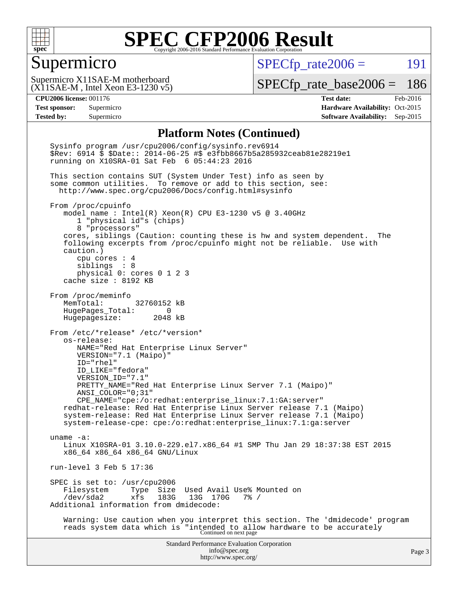

#### Supermicro

 $SPECfp_rate2006 =$  191

(X11SAE-M , Intel Xeon E3-1230 v5) Supermicro X11SAE-M motherboard

[SPECfp\\_rate\\_base2006 =](http://www.spec.org/auto/cpu2006/Docs/result-fields.html#SPECfpratebase2006) 186

**[CPU2006 license:](http://www.spec.org/auto/cpu2006/Docs/result-fields.html#CPU2006license)** 001176 **[Test date:](http://www.spec.org/auto/cpu2006/Docs/result-fields.html#Testdate)** Feb-2016 **[Test sponsor:](http://www.spec.org/auto/cpu2006/Docs/result-fields.html#Testsponsor)** Supermicro Supermicro **[Hardware Availability:](http://www.spec.org/auto/cpu2006/Docs/result-fields.html#HardwareAvailability)** Oct-2015 **[Tested by:](http://www.spec.org/auto/cpu2006/Docs/result-fields.html#Testedby)** Supermicro **Supermicro [Software Availability:](http://www.spec.org/auto/cpu2006/Docs/result-fields.html#SoftwareAvailability)** Sep-2015

#### **[Platform Notes \(Continued\)](http://www.spec.org/auto/cpu2006/Docs/result-fields.html#PlatformNotes)**

Standard Performance Evaluation Corporation [info@spec.org](mailto:info@spec.org) <http://www.spec.org/> Page 3 Sysinfo program /usr/cpu2006/config/sysinfo.rev6914 \$Rev: 6914 \$ \$Date:: 2014-06-25 #\$ e3fbb8667b5a285932ceab81e28219e1 running on X10SRA-01 Sat Feb 6 05:44:23 2016 This section contains SUT (System Under Test) info as seen by some common utilities. To remove or add to this section, see: <http://www.spec.org/cpu2006/Docs/config.html#sysinfo> From /proc/cpuinfo model name : Intel(R) Xeon(R) CPU E3-1230 v5 @ 3.40GHz 1 "physical id"s (chips) 8 "processors" cores, siblings (Caution: counting these is hw and system dependent. The following excerpts from /proc/cpuinfo might not be reliable. Use with caution.) cpu cores : 4 siblings : 8 physical 0: cores 0 1 2 3 cache size : 8192 KB From /proc/meminfo MemTotal: 32760152 kB HugePages\_Total: 0 Hugepagesize: 2048 kB From /etc/\*release\* /etc/\*version\* os-release: NAME="Red Hat Enterprise Linux Server" VERSION="7.1 (Maipo)" ID="rhel" ID\_LIKE="fedora" VERSION\_ID="7.1" PRETTY\_NAME="Red Hat Enterprise Linux Server 7.1 (Maipo)" ANSI\_COLOR="0;31" CPE\_NAME="cpe:/o:redhat:enterprise\_linux:7.1:GA:server" redhat-release: Red Hat Enterprise Linux Server release 7.1 (Maipo) system-release: Red Hat Enterprise Linux Server release 7.1 (Maipo) system-release-cpe: cpe:/o:redhat:enterprise\_linux:7.1:ga:server uname -a: Linux X10SRA-01 3.10.0-229.el7.x86\_64 #1 SMP Thu Jan 29 18:37:38 EST 2015 x86\_64 x86\_64 x86\_64 GNU/Linux run-level 3 Feb 5 17:36 SPEC is set to: /usr/cpu2006<br>Filesystem Type Size Filesystem Type Size Used Avail Use% Mounted on<br>/dev/sda2 xfs 183G 13G 170G 7% / /dev/sda2 xfs 183G 13G 170G 7% / Additional information from dmidecode: Warning: Use caution when you interpret this section. The 'dmidecode' program reads system data which is "intended to allow hardware to be accurately Continued on next page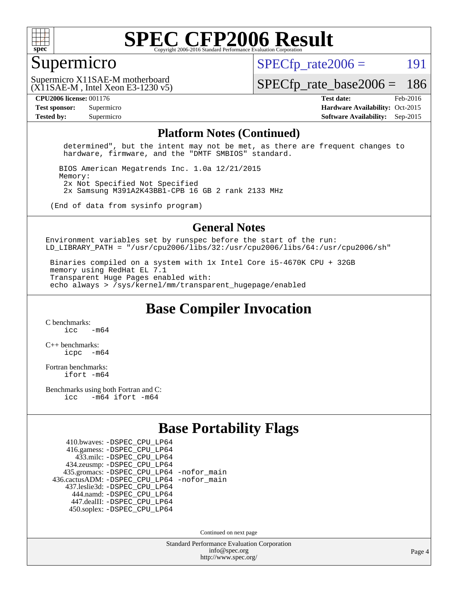

#### Supermicro

 $SPECTp\_rate2006 = 191$ 

(X11SAE-M , Intel Xeon E3-1230 v5) Supermicro X11SAE-M motherboard

[SPECfp\\_rate\\_base2006 =](http://www.spec.org/auto/cpu2006/Docs/result-fields.html#SPECfpratebase2006) 186

**[CPU2006 license:](http://www.spec.org/auto/cpu2006/Docs/result-fields.html#CPU2006license)** 001176 **[Test date:](http://www.spec.org/auto/cpu2006/Docs/result-fields.html#Testdate)** Feb-2016 **[Test sponsor:](http://www.spec.org/auto/cpu2006/Docs/result-fields.html#Testsponsor)** Supermicro Supermicro **[Hardware Availability:](http://www.spec.org/auto/cpu2006/Docs/result-fields.html#HardwareAvailability)** Oct-2015 **[Tested by:](http://www.spec.org/auto/cpu2006/Docs/result-fields.html#Testedby)** Supermicro **Supermicro [Software Availability:](http://www.spec.org/auto/cpu2006/Docs/result-fields.html#SoftwareAvailability)** Sep-2015

#### **[Platform Notes \(Continued\)](http://www.spec.org/auto/cpu2006/Docs/result-fields.html#PlatformNotes)**

 determined", but the intent may not be met, as there are frequent changes to hardware, firmware, and the "DMTF SMBIOS" standard.

 BIOS American Megatrends Inc. 1.0a 12/21/2015 Memory: 2x Not Specified Not Specified 2x Samsung M391A2K43BB1-CPB 16 GB 2 rank 2133 MHz

(End of data from sysinfo program)

#### **[General Notes](http://www.spec.org/auto/cpu2006/Docs/result-fields.html#GeneralNotes)**

Environment variables set by runspec before the start of the run: LD LIBRARY\_PATH = "/usr/cpu2006/libs/32:/usr/cpu2006/libs/64:/usr/cpu2006/sh"

 Binaries compiled on a system with 1x Intel Core i5-4670K CPU + 32GB memory using RedHat EL 7.1 Transparent Huge Pages enabled with: echo always > /sys/kernel/mm/transparent\_hugepage/enabled

**[Base Compiler Invocation](http://www.spec.org/auto/cpu2006/Docs/result-fields.html#BaseCompilerInvocation)**

[C benchmarks](http://www.spec.org/auto/cpu2006/Docs/result-fields.html#Cbenchmarks):  $icc$   $-m64$ 

[C++ benchmarks:](http://www.spec.org/auto/cpu2006/Docs/result-fields.html#CXXbenchmarks) [icpc -m64](http://www.spec.org/cpu2006/results/res2016q1/cpu2006-20160307-39287.flags.html#user_CXXbase_intel_icpc_64bit_bedb90c1146cab66620883ef4f41a67e)

[Fortran benchmarks](http://www.spec.org/auto/cpu2006/Docs/result-fields.html#Fortranbenchmarks): [ifort -m64](http://www.spec.org/cpu2006/results/res2016q1/cpu2006-20160307-39287.flags.html#user_FCbase_intel_ifort_64bit_ee9d0fb25645d0210d97eb0527dcc06e)

[Benchmarks using both Fortran and C](http://www.spec.org/auto/cpu2006/Docs/result-fields.html#BenchmarksusingbothFortranandC): [icc -m64](http://www.spec.org/cpu2006/results/res2016q1/cpu2006-20160307-39287.flags.html#user_CC_FCbase_intel_icc_64bit_0b7121f5ab7cfabee23d88897260401c) [ifort -m64](http://www.spec.org/cpu2006/results/res2016q1/cpu2006-20160307-39287.flags.html#user_CC_FCbase_intel_ifort_64bit_ee9d0fb25645d0210d97eb0527dcc06e)

### **[Base Portability Flags](http://www.spec.org/auto/cpu2006/Docs/result-fields.html#BasePortabilityFlags)**

 410.bwaves: [-DSPEC\\_CPU\\_LP64](http://www.spec.org/cpu2006/results/res2016q1/cpu2006-20160307-39287.flags.html#suite_basePORTABILITY410_bwaves_DSPEC_CPU_LP64) 416.gamess: [-DSPEC\\_CPU\\_LP64](http://www.spec.org/cpu2006/results/res2016q1/cpu2006-20160307-39287.flags.html#suite_basePORTABILITY416_gamess_DSPEC_CPU_LP64) 433.milc: [-DSPEC\\_CPU\\_LP64](http://www.spec.org/cpu2006/results/res2016q1/cpu2006-20160307-39287.flags.html#suite_basePORTABILITY433_milc_DSPEC_CPU_LP64) 434.zeusmp: [-DSPEC\\_CPU\\_LP64](http://www.spec.org/cpu2006/results/res2016q1/cpu2006-20160307-39287.flags.html#suite_basePORTABILITY434_zeusmp_DSPEC_CPU_LP64) 435.gromacs: [-DSPEC\\_CPU\\_LP64](http://www.spec.org/cpu2006/results/res2016q1/cpu2006-20160307-39287.flags.html#suite_basePORTABILITY435_gromacs_DSPEC_CPU_LP64) [-nofor\\_main](http://www.spec.org/cpu2006/results/res2016q1/cpu2006-20160307-39287.flags.html#user_baseLDPORTABILITY435_gromacs_f-nofor_main) 436.cactusADM: [-DSPEC\\_CPU\\_LP64](http://www.spec.org/cpu2006/results/res2016q1/cpu2006-20160307-39287.flags.html#suite_basePORTABILITY436_cactusADM_DSPEC_CPU_LP64) [-nofor\\_main](http://www.spec.org/cpu2006/results/res2016q1/cpu2006-20160307-39287.flags.html#user_baseLDPORTABILITY436_cactusADM_f-nofor_main) 437.leslie3d: [-DSPEC\\_CPU\\_LP64](http://www.spec.org/cpu2006/results/res2016q1/cpu2006-20160307-39287.flags.html#suite_basePORTABILITY437_leslie3d_DSPEC_CPU_LP64) 444.namd: [-DSPEC\\_CPU\\_LP64](http://www.spec.org/cpu2006/results/res2016q1/cpu2006-20160307-39287.flags.html#suite_basePORTABILITY444_namd_DSPEC_CPU_LP64) 447.dealII: [-DSPEC\\_CPU\\_LP64](http://www.spec.org/cpu2006/results/res2016q1/cpu2006-20160307-39287.flags.html#suite_basePORTABILITY447_dealII_DSPEC_CPU_LP64) 450.soplex: [-DSPEC\\_CPU\\_LP64](http://www.spec.org/cpu2006/results/res2016q1/cpu2006-20160307-39287.flags.html#suite_basePORTABILITY450_soplex_DSPEC_CPU_LP64)

Continued on next page

Standard Performance Evaluation Corporation [info@spec.org](mailto:info@spec.org) <http://www.spec.org/>

Page 4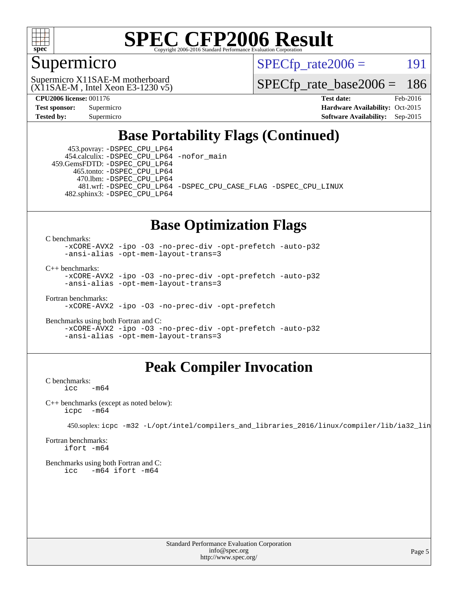

### Supermicro

 $SPECTp\_rate2006 = 191$ 

(X11SAE-M , Intel Xeon E3-1230 v5) Supermicro X11SAE-M motherboard

[SPECfp\\_rate\\_base2006 =](http://www.spec.org/auto/cpu2006/Docs/result-fields.html#SPECfpratebase2006) 186

**[CPU2006 license:](http://www.spec.org/auto/cpu2006/Docs/result-fields.html#CPU2006license)** 001176 **[Test date:](http://www.spec.org/auto/cpu2006/Docs/result-fields.html#Testdate)** Feb-2016 **[Test sponsor:](http://www.spec.org/auto/cpu2006/Docs/result-fields.html#Testsponsor)** Supermicro Supermicro **[Hardware Availability:](http://www.spec.org/auto/cpu2006/Docs/result-fields.html#HardwareAvailability)** Oct-2015 **[Tested by:](http://www.spec.org/auto/cpu2006/Docs/result-fields.html#Testedby)** Supermicro **Supermicro [Software Availability:](http://www.spec.org/auto/cpu2006/Docs/result-fields.html#SoftwareAvailability)** Sep-2015

### **[Base Portability Flags \(Continued\)](http://www.spec.org/auto/cpu2006/Docs/result-fields.html#BasePortabilityFlags)**

 453.povray: [-DSPEC\\_CPU\\_LP64](http://www.spec.org/cpu2006/results/res2016q1/cpu2006-20160307-39287.flags.html#suite_basePORTABILITY453_povray_DSPEC_CPU_LP64) 454.calculix: [-DSPEC\\_CPU\\_LP64](http://www.spec.org/cpu2006/results/res2016q1/cpu2006-20160307-39287.flags.html#suite_basePORTABILITY454_calculix_DSPEC_CPU_LP64) [-nofor\\_main](http://www.spec.org/cpu2006/results/res2016q1/cpu2006-20160307-39287.flags.html#user_baseLDPORTABILITY454_calculix_f-nofor_main) 459.GemsFDTD: [-DSPEC\\_CPU\\_LP64](http://www.spec.org/cpu2006/results/res2016q1/cpu2006-20160307-39287.flags.html#suite_basePORTABILITY459_GemsFDTD_DSPEC_CPU_LP64)

 465.tonto: [-DSPEC\\_CPU\\_LP64](http://www.spec.org/cpu2006/results/res2016q1/cpu2006-20160307-39287.flags.html#suite_basePORTABILITY465_tonto_DSPEC_CPU_LP64) 470.lbm: [-DSPEC\\_CPU\\_LP64](http://www.spec.org/cpu2006/results/res2016q1/cpu2006-20160307-39287.flags.html#suite_basePORTABILITY470_lbm_DSPEC_CPU_LP64)

 481.wrf: [-DSPEC\\_CPU\\_LP64](http://www.spec.org/cpu2006/results/res2016q1/cpu2006-20160307-39287.flags.html#suite_basePORTABILITY481_wrf_DSPEC_CPU_LP64) [-DSPEC\\_CPU\\_CASE\\_FLAG](http://www.spec.org/cpu2006/results/res2016q1/cpu2006-20160307-39287.flags.html#b481.wrf_baseCPORTABILITY_DSPEC_CPU_CASE_FLAG) [-DSPEC\\_CPU\\_LINUX](http://www.spec.org/cpu2006/results/res2016q1/cpu2006-20160307-39287.flags.html#b481.wrf_baseCPORTABILITY_DSPEC_CPU_LINUX) 482.sphinx3: [-DSPEC\\_CPU\\_LP64](http://www.spec.org/cpu2006/results/res2016q1/cpu2006-20160307-39287.flags.html#suite_basePORTABILITY482_sphinx3_DSPEC_CPU_LP64)

#### **[Base Optimization Flags](http://www.spec.org/auto/cpu2006/Docs/result-fields.html#BaseOptimizationFlags)**

[C benchmarks](http://www.spec.org/auto/cpu2006/Docs/result-fields.html#Cbenchmarks):

[-xCORE-AVX2](http://www.spec.org/cpu2006/results/res2016q1/cpu2006-20160307-39287.flags.html#user_CCbase_f-xAVX2_5f5fc0cbe2c9f62c816d3e45806c70d7) [-ipo](http://www.spec.org/cpu2006/results/res2016q1/cpu2006-20160307-39287.flags.html#user_CCbase_f-ipo) [-O3](http://www.spec.org/cpu2006/results/res2016q1/cpu2006-20160307-39287.flags.html#user_CCbase_f-O3) [-no-prec-div](http://www.spec.org/cpu2006/results/res2016q1/cpu2006-20160307-39287.flags.html#user_CCbase_f-no-prec-div) [-opt-prefetch](http://www.spec.org/cpu2006/results/res2016q1/cpu2006-20160307-39287.flags.html#user_CCbase_f-opt-prefetch) [-auto-p32](http://www.spec.org/cpu2006/results/res2016q1/cpu2006-20160307-39287.flags.html#user_CCbase_f-auto-p32) [-ansi-alias](http://www.spec.org/cpu2006/results/res2016q1/cpu2006-20160307-39287.flags.html#user_CCbase_f-ansi-alias) [-opt-mem-layout-trans=3](http://www.spec.org/cpu2006/results/res2016q1/cpu2006-20160307-39287.flags.html#user_CCbase_f-opt-mem-layout-trans_a7b82ad4bd7abf52556d4961a2ae94d5)

[C++ benchmarks:](http://www.spec.org/auto/cpu2006/Docs/result-fields.html#CXXbenchmarks)

[-xCORE-AVX2](http://www.spec.org/cpu2006/results/res2016q1/cpu2006-20160307-39287.flags.html#user_CXXbase_f-xAVX2_5f5fc0cbe2c9f62c816d3e45806c70d7) [-ipo](http://www.spec.org/cpu2006/results/res2016q1/cpu2006-20160307-39287.flags.html#user_CXXbase_f-ipo) [-O3](http://www.spec.org/cpu2006/results/res2016q1/cpu2006-20160307-39287.flags.html#user_CXXbase_f-O3) [-no-prec-div](http://www.spec.org/cpu2006/results/res2016q1/cpu2006-20160307-39287.flags.html#user_CXXbase_f-no-prec-div) [-opt-prefetch](http://www.spec.org/cpu2006/results/res2016q1/cpu2006-20160307-39287.flags.html#user_CXXbase_f-opt-prefetch) [-auto-p32](http://www.spec.org/cpu2006/results/res2016q1/cpu2006-20160307-39287.flags.html#user_CXXbase_f-auto-p32) [-ansi-alias](http://www.spec.org/cpu2006/results/res2016q1/cpu2006-20160307-39287.flags.html#user_CXXbase_f-ansi-alias) [-opt-mem-layout-trans=3](http://www.spec.org/cpu2006/results/res2016q1/cpu2006-20160307-39287.flags.html#user_CXXbase_f-opt-mem-layout-trans_a7b82ad4bd7abf52556d4961a2ae94d5)

[Fortran benchmarks](http://www.spec.org/auto/cpu2006/Docs/result-fields.html#Fortranbenchmarks): [-xCORE-AVX2](http://www.spec.org/cpu2006/results/res2016q1/cpu2006-20160307-39287.flags.html#user_FCbase_f-xAVX2_5f5fc0cbe2c9f62c816d3e45806c70d7) [-ipo](http://www.spec.org/cpu2006/results/res2016q1/cpu2006-20160307-39287.flags.html#user_FCbase_f-ipo) [-O3](http://www.spec.org/cpu2006/results/res2016q1/cpu2006-20160307-39287.flags.html#user_FCbase_f-O3) [-no-prec-div](http://www.spec.org/cpu2006/results/res2016q1/cpu2006-20160307-39287.flags.html#user_FCbase_f-no-prec-div) [-opt-prefetch](http://www.spec.org/cpu2006/results/res2016q1/cpu2006-20160307-39287.flags.html#user_FCbase_f-opt-prefetch)

[Benchmarks using both Fortran and C](http://www.spec.org/auto/cpu2006/Docs/result-fields.html#BenchmarksusingbothFortranandC): [-xCORE-AVX2](http://www.spec.org/cpu2006/results/res2016q1/cpu2006-20160307-39287.flags.html#user_CC_FCbase_f-xAVX2_5f5fc0cbe2c9f62c816d3e45806c70d7) [-ipo](http://www.spec.org/cpu2006/results/res2016q1/cpu2006-20160307-39287.flags.html#user_CC_FCbase_f-ipo) [-O3](http://www.spec.org/cpu2006/results/res2016q1/cpu2006-20160307-39287.flags.html#user_CC_FCbase_f-O3) [-no-prec-div](http://www.spec.org/cpu2006/results/res2016q1/cpu2006-20160307-39287.flags.html#user_CC_FCbase_f-no-prec-div) [-opt-prefetch](http://www.spec.org/cpu2006/results/res2016q1/cpu2006-20160307-39287.flags.html#user_CC_FCbase_f-opt-prefetch) [-auto-p32](http://www.spec.org/cpu2006/results/res2016q1/cpu2006-20160307-39287.flags.html#user_CC_FCbase_f-auto-p32) [-ansi-alias](http://www.spec.org/cpu2006/results/res2016q1/cpu2006-20160307-39287.flags.html#user_CC_FCbase_f-ansi-alias) [-opt-mem-layout-trans=3](http://www.spec.org/cpu2006/results/res2016q1/cpu2006-20160307-39287.flags.html#user_CC_FCbase_f-opt-mem-layout-trans_a7b82ad4bd7abf52556d4961a2ae94d5)

### **[Peak Compiler Invocation](http://www.spec.org/auto/cpu2006/Docs/result-fields.html#PeakCompilerInvocation)**

[C benchmarks](http://www.spec.org/auto/cpu2006/Docs/result-fields.html#Cbenchmarks):  $\text{icc}$   $-\text{m64}$ 

[C++ benchmarks \(except as noted below\):](http://www.spec.org/auto/cpu2006/Docs/result-fields.html#CXXbenchmarksexceptasnotedbelow) [icpc -m64](http://www.spec.org/cpu2006/results/res2016q1/cpu2006-20160307-39287.flags.html#user_CXXpeak_intel_icpc_64bit_bedb90c1146cab66620883ef4f41a67e)

450.soplex: [icpc -m32 -L/opt/intel/compilers\\_and\\_libraries\\_2016/linux/compiler/lib/ia32\\_lin](http://www.spec.org/cpu2006/results/res2016q1/cpu2006-20160307-39287.flags.html#user_peakCXXLD450_soplex_intel_icpc_b4f50a394bdb4597aa5879c16bc3f5c5)

[Fortran benchmarks](http://www.spec.org/auto/cpu2006/Docs/result-fields.html#Fortranbenchmarks): [ifort -m64](http://www.spec.org/cpu2006/results/res2016q1/cpu2006-20160307-39287.flags.html#user_FCpeak_intel_ifort_64bit_ee9d0fb25645d0210d97eb0527dcc06e)

[Benchmarks using both Fortran and C](http://www.spec.org/auto/cpu2006/Docs/result-fields.html#BenchmarksusingbothFortranandC): [icc -m64](http://www.spec.org/cpu2006/results/res2016q1/cpu2006-20160307-39287.flags.html#user_CC_FCpeak_intel_icc_64bit_0b7121f5ab7cfabee23d88897260401c) [ifort -m64](http://www.spec.org/cpu2006/results/res2016q1/cpu2006-20160307-39287.flags.html#user_CC_FCpeak_intel_ifort_64bit_ee9d0fb25645d0210d97eb0527dcc06e)

> Standard Performance Evaluation Corporation [info@spec.org](mailto:info@spec.org) <http://www.spec.org/>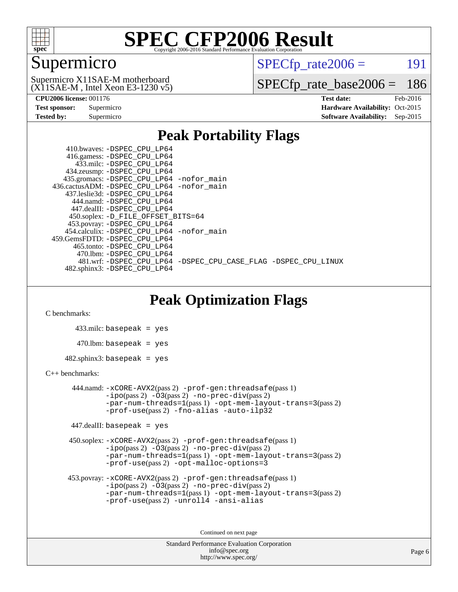

### Supermicro

 $SPECTp\_rate2006 = 191$ 

(X11SAE-M , Intel Xeon E3-1230 v5) Supermicro X11SAE-M motherboard

[SPECfp\\_rate\\_base2006 =](http://www.spec.org/auto/cpu2006/Docs/result-fields.html#SPECfpratebase2006) 186

**[CPU2006 license:](http://www.spec.org/auto/cpu2006/Docs/result-fields.html#CPU2006license)** 001176 **[Test date:](http://www.spec.org/auto/cpu2006/Docs/result-fields.html#Testdate)** Feb-2016 **[Test sponsor:](http://www.spec.org/auto/cpu2006/Docs/result-fields.html#Testsponsor)** Supermicro Supermicro **[Hardware Availability:](http://www.spec.org/auto/cpu2006/Docs/result-fields.html#HardwareAvailability)** Oct-2015 **[Tested by:](http://www.spec.org/auto/cpu2006/Docs/result-fields.html#Testedby)** Supermicro **Supermicro [Software Availability:](http://www.spec.org/auto/cpu2006/Docs/result-fields.html#SoftwareAvailability)** Sep-2015

#### **[Peak Portability Flags](http://www.spec.org/auto/cpu2006/Docs/result-fields.html#PeakPortabilityFlags)**

 410.bwaves: [-DSPEC\\_CPU\\_LP64](http://www.spec.org/cpu2006/results/res2016q1/cpu2006-20160307-39287.flags.html#suite_peakPORTABILITY410_bwaves_DSPEC_CPU_LP64) 416.gamess: [-DSPEC\\_CPU\\_LP64](http://www.spec.org/cpu2006/results/res2016q1/cpu2006-20160307-39287.flags.html#suite_peakPORTABILITY416_gamess_DSPEC_CPU_LP64) 433.milc: [-DSPEC\\_CPU\\_LP64](http://www.spec.org/cpu2006/results/res2016q1/cpu2006-20160307-39287.flags.html#suite_peakPORTABILITY433_milc_DSPEC_CPU_LP64) 434.zeusmp: [-DSPEC\\_CPU\\_LP64](http://www.spec.org/cpu2006/results/res2016q1/cpu2006-20160307-39287.flags.html#suite_peakPORTABILITY434_zeusmp_DSPEC_CPU_LP64) 435.gromacs: [-DSPEC\\_CPU\\_LP64](http://www.spec.org/cpu2006/results/res2016q1/cpu2006-20160307-39287.flags.html#suite_peakPORTABILITY435_gromacs_DSPEC_CPU_LP64) [-nofor\\_main](http://www.spec.org/cpu2006/results/res2016q1/cpu2006-20160307-39287.flags.html#user_peakLDPORTABILITY435_gromacs_f-nofor_main) 436.cactusADM: [-DSPEC\\_CPU\\_LP64](http://www.spec.org/cpu2006/results/res2016q1/cpu2006-20160307-39287.flags.html#suite_peakPORTABILITY436_cactusADM_DSPEC_CPU_LP64) [-nofor\\_main](http://www.spec.org/cpu2006/results/res2016q1/cpu2006-20160307-39287.flags.html#user_peakLDPORTABILITY436_cactusADM_f-nofor_main) 437.leslie3d: [-DSPEC\\_CPU\\_LP64](http://www.spec.org/cpu2006/results/res2016q1/cpu2006-20160307-39287.flags.html#suite_peakPORTABILITY437_leslie3d_DSPEC_CPU_LP64) 444.namd: [-DSPEC\\_CPU\\_LP64](http://www.spec.org/cpu2006/results/res2016q1/cpu2006-20160307-39287.flags.html#suite_peakPORTABILITY444_namd_DSPEC_CPU_LP64) 447.dealII: [-DSPEC\\_CPU\\_LP64](http://www.spec.org/cpu2006/results/res2016q1/cpu2006-20160307-39287.flags.html#suite_peakPORTABILITY447_dealII_DSPEC_CPU_LP64) 450.soplex: [-D\\_FILE\\_OFFSET\\_BITS=64](http://www.spec.org/cpu2006/results/res2016q1/cpu2006-20160307-39287.flags.html#user_peakPORTABILITY450_soplex_file_offset_bits_64_438cf9856305ebd76870a2c6dc2689ab) 453.povray: [-DSPEC\\_CPU\\_LP64](http://www.spec.org/cpu2006/results/res2016q1/cpu2006-20160307-39287.flags.html#suite_peakPORTABILITY453_povray_DSPEC_CPU_LP64) 454.calculix: [-DSPEC\\_CPU\\_LP64](http://www.spec.org/cpu2006/results/res2016q1/cpu2006-20160307-39287.flags.html#suite_peakPORTABILITY454_calculix_DSPEC_CPU_LP64) [-nofor\\_main](http://www.spec.org/cpu2006/results/res2016q1/cpu2006-20160307-39287.flags.html#user_peakLDPORTABILITY454_calculix_f-nofor_main) 459.GemsFDTD: [-DSPEC\\_CPU\\_LP64](http://www.spec.org/cpu2006/results/res2016q1/cpu2006-20160307-39287.flags.html#suite_peakPORTABILITY459_GemsFDTD_DSPEC_CPU_LP64) 465.tonto: [-DSPEC\\_CPU\\_LP64](http://www.spec.org/cpu2006/results/res2016q1/cpu2006-20160307-39287.flags.html#suite_peakPORTABILITY465_tonto_DSPEC_CPU_LP64) 470.lbm: [-DSPEC\\_CPU\\_LP64](http://www.spec.org/cpu2006/results/res2016q1/cpu2006-20160307-39287.flags.html#suite_peakPORTABILITY470_lbm_DSPEC_CPU_LP64) 481.wrf: [-DSPEC\\_CPU\\_LP64](http://www.spec.org/cpu2006/results/res2016q1/cpu2006-20160307-39287.flags.html#suite_peakPORTABILITY481_wrf_DSPEC_CPU_LP64) [-DSPEC\\_CPU\\_CASE\\_FLAG](http://www.spec.org/cpu2006/results/res2016q1/cpu2006-20160307-39287.flags.html#b481.wrf_peakCPORTABILITY_DSPEC_CPU_CASE_FLAG) [-DSPEC\\_CPU\\_LINUX](http://www.spec.org/cpu2006/results/res2016q1/cpu2006-20160307-39287.flags.html#b481.wrf_peakCPORTABILITY_DSPEC_CPU_LINUX) 482.sphinx3: [-DSPEC\\_CPU\\_LP64](http://www.spec.org/cpu2006/results/res2016q1/cpu2006-20160307-39287.flags.html#suite_peakPORTABILITY482_sphinx3_DSPEC_CPU_LP64)

### **[Peak Optimization Flags](http://www.spec.org/auto/cpu2006/Docs/result-fields.html#PeakOptimizationFlags)**

[C benchmarks](http://www.spec.org/auto/cpu2006/Docs/result-fields.html#Cbenchmarks):

 433.milc: basepeak = yes  $470.1$ bm: basepeak = yes  $482$ .sphinx3: basepeak = yes

#### [C++ benchmarks:](http://www.spec.org/auto/cpu2006/Docs/result-fields.html#CXXbenchmarks)

 444.namd: [-xCORE-AVX2](http://www.spec.org/cpu2006/results/res2016q1/cpu2006-20160307-39287.flags.html#user_peakPASS2_CXXFLAGSPASS2_LDFLAGS444_namd_f-xAVX2_5f5fc0cbe2c9f62c816d3e45806c70d7)(pass 2) [-prof-gen:threadsafe](http://www.spec.org/cpu2006/results/res2016q1/cpu2006-20160307-39287.flags.html#user_peakPASS1_CXXFLAGSPASS1_LDFLAGS444_namd_prof_gen_21a26eb79f378b550acd7bec9fe4467a)(pass 1)  $-i\text{po}(pass 2) -03(pass 2) -no-prec-div(pass 2)$  $-i\text{po}(pass 2) -03(pass 2) -no-prec-div(pass 2)$  $-i\text{po}(pass 2) -03(pass 2) -no-prec-div(pass 2)$ [-par-num-threads=1](http://www.spec.org/cpu2006/results/res2016q1/cpu2006-20160307-39287.flags.html#user_peakPASS1_CXXFLAGSPASS1_LDFLAGS444_namd_par_num_threads_786a6ff141b4e9e90432e998842df6c2)(pass 1) [-opt-mem-layout-trans=3](http://www.spec.org/cpu2006/results/res2016q1/cpu2006-20160307-39287.flags.html#user_peakPASS2_CXXFLAGS444_namd_f-opt-mem-layout-trans_a7b82ad4bd7abf52556d4961a2ae94d5)(pass 2) [-prof-use](http://www.spec.org/cpu2006/results/res2016q1/cpu2006-20160307-39287.flags.html#user_peakPASS2_CXXFLAGSPASS2_LDFLAGS444_namd_prof_use_bccf7792157ff70d64e32fe3e1250b55)(pass 2) [-fno-alias](http://www.spec.org/cpu2006/results/res2016q1/cpu2006-20160307-39287.flags.html#user_peakCXXOPTIMIZE444_namd_f-no-alias_694e77f6c5a51e658e82ccff53a9e63a) [-auto-ilp32](http://www.spec.org/cpu2006/results/res2016q1/cpu2006-20160307-39287.flags.html#user_peakCXXOPTIMIZE444_namd_f-auto-ilp32)

447.dealII: basepeak = yes

 450.soplex: [-xCORE-AVX2](http://www.spec.org/cpu2006/results/res2016q1/cpu2006-20160307-39287.flags.html#user_peakPASS2_CXXFLAGSPASS2_LDFLAGS450_soplex_f-xAVX2_5f5fc0cbe2c9f62c816d3e45806c70d7)(pass 2) [-prof-gen:threadsafe](http://www.spec.org/cpu2006/results/res2016q1/cpu2006-20160307-39287.flags.html#user_peakPASS1_CXXFLAGSPASS1_LDFLAGS450_soplex_prof_gen_21a26eb79f378b550acd7bec9fe4467a)(pass 1)  $-i\text{po}(pass 2) -\tilde{O}3(pass 2)$  -no- $\bar{p}rec-div(pass 2)$ [-par-num-threads=1](http://www.spec.org/cpu2006/results/res2016q1/cpu2006-20160307-39287.flags.html#user_peakPASS1_CXXFLAGSPASS1_LDFLAGS450_soplex_par_num_threads_786a6ff141b4e9e90432e998842df6c2)(pass 1) [-opt-mem-layout-trans=3](http://www.spec.org/cpu2006/results/res2016q1/cpu2006-20160307-39287.flags.html#user_peakPASS2_CXXFLAGS450_soplex_f-opt-mem-layout-trans_a7b82ad4bd7abf52556d4961a2ae94d5)(pass 2) [-prof-use](http://www.spec.org/cpu2006/results/res2016q1/cpu2006-20160307-39287.flags.html#user_peakPASS2_CXXFLAGSPASS2_LDFLAGS450_soplex_prof_use_bccf7792157ff70d64e32fe3e1250b55)(pass 2) [-opt-malloc-options=3](http://www.spec.org/cpu2006/results/res2016q1/cpu2006-20160307-39287.flags.html#user_peakOPTIMIZE450_soplex_f-opt-malloc-options_13ab9b803cf986b4ee62f0a5998c2238)

```
 453.povray: -xCORE-AVX2(pass 2) -prof-gen:threadsafe(pass 1)
-no-prec-div(pass 2)-par-num-threads=1(pass 1) -opt-mem-layout-trans=3(pass 2)
-prof-use(pass 2) -unroll4 -ansi-alias
```
Continued on next page

```
Standard Performance Evaluation Corporation
      info@spec.org
   http://www.spec.org/
```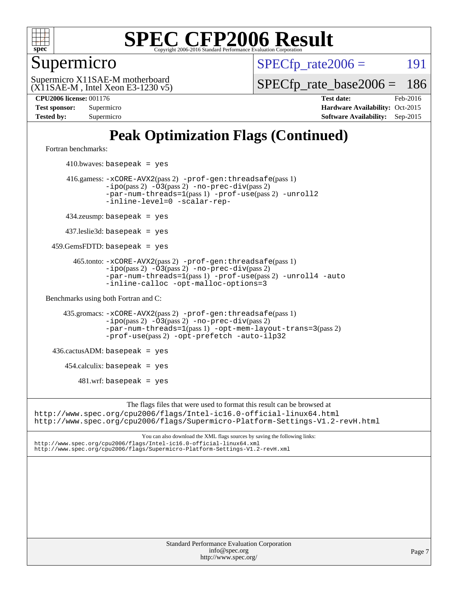

Supermicro

 $SPECTp\_rate2006 = 191$ 

(X11SAE-M , Intel Xeon E3-1230 v5) Supermicro X11SAE-M motherboard

[SPECfp\\_rate\\_base2006 =](http://www.spec.org/auto/cpu2006/Docs/result-fields.html#SPECfpratebase2006) 186

**[CPU2006 license:](http://www.spec.org/auto/cpu2006/Docs/result-fields.html#CPU2006license)** 001176 **[Test date:](http://www.spec.org/auto/cpu2006/Docs/result-fields.html#Testdate)** Feb-2016 **[Test sponsor:](http://www.spec.org/auto/cpu2006/Docs/result-fields.html#Testsponsor)** Supermicro Supermicro **[Hardware Availability:](http://www.spec.org/auto/cpu2006/Docs/result-fields.html#HardwareAvailability)** Oct-2015 **[Tested by:](http://www.spec.org/auto/cpu2006/Docs/result-fields.html#Testedby)** Supermicro **Supermicro [Software Availability:](http://www.spec.org/auto/cpu2006/Docs/result-fields.html#SoftwareAvailability)** Sep-2015

### **[Peak Optimization Flags \(Continued\)](http://www.spec.org/auto/cpu2006/Docs/result-fields.html#PeakOptimizationFlags)**

[Fortran benchmarks](http://www.spec.org/auto/cpu2006/Docs/result-fields.html#Fortranbenchmarks):

 $410.bwaves: basepeak = yes$  416.gamess: [-xCORE-AVX2](http://www.spec.org/cpu2006/results/res2016q1/cpu2006-20160307-39287.flags.html#user_peakPASS2_FFLAGSPASS2_LDFLAGS416_gamess_f-xAVX2_5f5fc0cbe2c9f62c816d3e45806c70d7)(pass 2) [-prof-gen:threadsafe](http://www.spec.org/cpu2006/results/res2016q1/cpu2006-20160307-39287.flags.html#user_peakPASS1_FFLAGSPASS1_LDFLAGS416_gamess_prof_gen_21a26eb79f378b550acd7bec9fe4467a)(pass 1) [-ipo](http://www.spec.org/cpu2006/results/res2016q1/cpu2006-20160307-39287.flags.html#user_peakPASS2_FFLAGSPASS2_LDFLAGS416_gamess_f-ipo)(pass 2) [-O3](http://www.spec.org/cpu2006/results/res2016q1/cpu2006-20160307-39287.flags.html#user_peakPASS2_FFLAGSPASS2_LDFLAGS416_gamess_f-O3)(pass 2) [-no-prec-div](http://www.spec.org/cpu2006/results/res2016q1/cpu2006-20160307-39287.flags.html#user_peakPASS2_FFLAGSPASS2_LDFLAGS416_gamess_f-no-prec-div)(pass 2) [-par-num-threads=1](http://www.spec.org/cpu2006/results/res2016q1/cpu2006-20160307-39287.flags.html#user_peakPASS1_FFLAGSPASS1_LDFLAGS416_gamess_par_num_threads_786a6ff141b4e9e90432e998842df6c2)(pass 1) [-prof-use](http://www.spec.org/cpu2006/results/res2016q1/cpu2006-20160307-39287.flags.html#user_peakPASS2_FFLAGSPASS2_LDFLAGS416_gamess_prof_use_bccf7792157ff70d64e32fe3e1250b55)(pass 2) [-unroll2](http://www.spec.org/cpu2006/results/res2016q1/cpu2006-20160307-39287.flags.html#user_peakOPTIMIZE416_gamess_f-unroll_784dae83bebfb236979b41d2422d7ec2) [-inline-level=0](http://www.spec.org/cpu2006/results/res2016q1/cpu2006-20160307-39287.flags.html#user_peakOPTIMIZE416_gamess_f-inline-level_318d07a09274ad25e8d15dbfaa68ba50) [-scalar-rep-](http://www.spec.org/cpu2006/results/res2016q1/cpu2006-20160307-39287.flags.html#user_peakOPTIMIZE416_gamess_f-disablescalarrep_abbcad04450fb118e4809c81d83c8a1d) 434.zeusmp: basepeak = yes 437.leslie3d: basepeak = yes 459.GemsFDTD: basepeak = yes 465.tonto: [-xCORE-AVX2](http://www.spec.org/cpu2006/results/res2016q1/cpu2006-20160307-39287.flags.html#user_peakPASS2_FFLAGSPASS2_LDFLAGS465_tonto_f-xAVX2_5f5fc0cbe2c9f62c816d3e45806c70d7)(pass 2) [-prof-gen:threadsafe](http://www.spec.org/cpu2006/results/res2016q1/cpu2006-20160307-39287.flags.html#user_peakPASS1_FFLAGSPASS1_LDFLAGS465_tonto_prof_gen_21a26eb79f378b550acd7bec9fe4467a)(pass 1)  $-ipo(pass 2)$  $-ipo(pass 2)$   $-03(pass 2)$   $-no-prec-div(pass 2)$  $-no-prec-div(pass 2)$ [-par-num-threads=1](http://www.spec.org/cpu2006/results/res2016q1/cpu2006-20160307-39287.flags.html#user_peakPASS1_FFLAGSPASS1_LDFLAGS465_tonto_par_num_threads_786a6ff141b4e9e90432e998842df6c2)(pass 1) [-prof-use](http://www.spec.org/cpu2006/results/res2016q1/cpu2006-20160307-39287.flags.html#user_peakPASS2_FFLAGSPASS2_LDFLAGS465_tonto_prof_use_bccf7792157ff70d64e32fe3e1250b55)(pass 2) [-unroll4](http://www.spec.org/cpu2006/results/res2016q1/cpu2006-20160307-39287.flags.html#user_peakOPTIMIZE465_tonto_f-unroll_4e5e4ed65b7fd20bdcd365bec371b81f) [-auto](http://www.spec.org/cpu2006/results/res2016q1/cpu2006-20160307-39287.flags.html#user_peakOPTIMIZE465_tonto_f-auto) [-inline-calloc](http://www.spec.org/cpu2006/results/res2016q1/cpu2006-20160307-39287.flags.html#user_peakOPTIMIZE465_tonto_f-inline-calloc) [-opt-malloc-options=3](http://www.spec.org/cpu2006/results/res2016q1/cpu2006-20160307-39287.flags.html#user_peakOPTIMIZE465_tonto_f-opt-malloc-options_13ab9b803cf986b4ee62f0a5998c2238) [Benchmarks using both Fortran and C](http://www.spec.org/auto/cpu2006/Docs/result-fields.html#BenchmarksusingbothFortranandC): 435.gromacs: [-xCORE-AVX2](http://www.spec.org/cpu2006/results/res2016q1/cpu2006-20160307-39287.flags.html#user_peakPASS2_CFLAGSPASS2_FFLAGSPASS2_LDFLAGS435_gromacs_f-xAVX2_5f5fc0cbe2c9f62c816d3e45806c70d7)(pass 2) [-prof-gen:threadsafe](http://www.spec.org/cpu2006/results/res2016q1/cpu2006-20160307-39287.flags.html#user_peakPASS1_CFLAGSPASS1_FFLAGSPASS1_LDFLAGS435_gromacs_prof_gen_21a26eb79f378b550acd7bec9fe4467a)(pass 1) [-ipo](http://www.spec.org/cpu2006/results/res2016q1/cpu2006-20160307-39287.flags.html#user_peakPASS2_CFLAGSPASS2_FFLAGSPASS2_LDFLAGS435_gromacs_f-ipo)(pass 2) [-O3](http://www.spec.org/cpu2006/results/res2016q1/cpu2006-20160307-39287.flags.html#user_peakPASS2_CFLAGSPASS2_FFLAGSPASS2_LDFLAGS435_gromacs_f-O3)(pass 2) [-no-prec-div](http://www.spec.org/cpu2006/results/res2016q1/cpu2006-20160307-39287.flags.html#user_peakPASS2_CFLAGSPASS2_FFLAGSPASS2_LDFLAGS435_gromacs_f-no-prec-div)(pass 2) [-par-num-threads=1](http://www.spec.org/cpu2006/results/res2016q1/cpu2006-20160307-39287.flags.html#user_peakPASS1_CFLAGSPASS1_FFLAGSPASS1_LDFLAGS435_gromacs_par_num_threads_786a6ff141b4e9e90432e998842df6c2)(pass 1) [-opt-mem-layout-trans=3](http://www.spec.org/cpu2006/results/res2016q1/cpu2006-20160307-39287.flags.html#user_peakPASS2_CFLAGS435_gromacs_f-opt-mem-layout-trans_a7b82ad4bd7abf52556d4961a2ae94d5)(pass 2) [-prof-use](http://www.spec.org/cpu2006/results/res2016q1/cpu2006-20160307-39287.flags.html#user_peakPASS2_CFLAGSPASS2_FFLAGSPASS2_LDFLAGS435_gromacs_prof_use_bccf7792157ff70d64e32fe3e1250b55)(pass 2) [-opt-prefetch](http://www.spec.org/cpu2006/results/res2016q1/cpu2006-20160307-39287.flags.html#user_peakOPTIMIZE435_gromacs_f-opt-prefetch) [-auto-ilp32](http://www.spec.org/cpu2006/results/res2016q1/cpu2006-20160307-39287.flags.html#user_peakCOPTIMIZE435_gromacs_f-auto-ilp32)  $436.cactusADM:basepeak = yes$  454.calculix: basepeak = yes  $481.$ wrf: basepeak = yes The flags files that were used to format this result can be browsed at <http://www.spec.org/cpu2006/flags/Intel-ic16.0-official-linux64.html> <http://www.spec.org/cpu2006/flags/Supermicro-Platform-Settings-V1.2-revH.html>

You can also download the XML flags sources by saving the following links: <http://www.spec.org/cpu2006/flags/Intel-ic16.0-official-linux64.xml> <http://www.spec.org/cpu2006/flags/Supermicro-Platform-Settings-V1.2-revH.xml>

> Standard Performance Evaluation Corporation [info@spec.org](mailto:info@spec.org) <http://www.spec.org/>